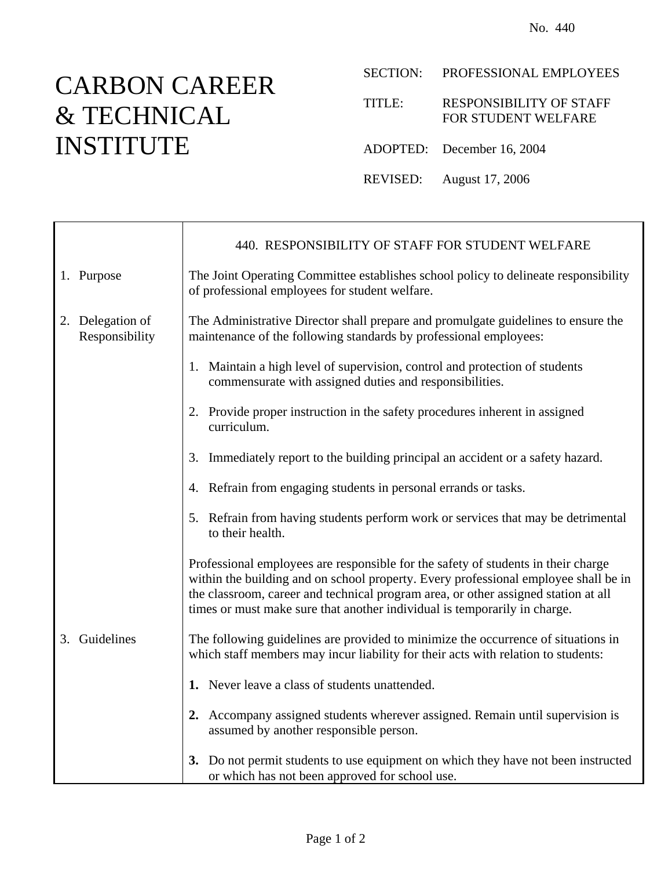## CARBON CAREER & TECHNICAL INSTITUTE

T

 $\mathsf{r}$ 

SECTION: PROFESSIONAL EMPLOYEES

TITLE: RESPONSIBILITY OF STAFF FOR STUDENT WELFARE

- ADOPTED: December 16, 2004
- REVISED: August 17, 2006

|                                    | 440. RESPONSIBILITY OF STAFF FOR STUDENT WELFARE                                                                                                                                                                                                                                                                                            |
|------------------------------------|---------------------------------------------------------------------------------------------------------------------------------------------------------------------------------------------------------------------------------------------------------------------------------------------------------------------------------------------|
| 1. Purpose                         | The Joint Operating Committee establishes school policy to delineate responsibility<br>of professional employees for student welfare.                                                                                                                                                                                                       |
| 2. Delegation of<br>Responsibility | The Administrative Director shall prepare and promulgate guidelines to ensure the<br>maintenance of the following standards by professional employees:                                                                                                                                                                                      |
|                                    | 1. Maintain a high level of supervision, control and protection of students<br>commensurate with assigned duties and responsibilities.                                                                                                                                                                                                      |
|                                    | 2. Provide proper instruction in the safety procedures inherent in assigned<br>curriculum.                                                                                                                                                                                                                                                  |
|                                    | 3. Immediately report to the building principal an accident or a safety hazard.                                                                                                                                                                                                                                                             |
|                                    | 4. Refrain from engaging students in personal errands or tasks.                                                                                                                                                                                                                                                                             |
|                                    | 5. Refrain from having students perform work or services that may be detrimental<br>to their health.                                                                                                                                                                                                                                        |
|                                    | Professional employees are responsible for the safety of students in their charge<br>within the building and on school property. Every professional employee shall be in<br>the classroom, career and technical program area, or other assigned station at all<br>times or must make sure that another individual is temporarily in charge. |
| 3. Guidelines                      | The following guidelines are provided to minimize the occurrence of situations in<br>which staff members may incur liability for their acts with relation to students:                                                                                                                                                                      |
|                                    | 1. Never leave a class of students unattended.                                                                                                                                                                                                                                                                                              |
|                                    | 2. Accompany assigned students wherever assigned. Remain until supervision is<br>assumed by another responsible person.                                                                                                                                                                                                                     |
|                                    | 3. Do not permit students to use equipment on which they have not been instructed<br>or which has not been approved for school use.                                                                                                                                                                                                         |